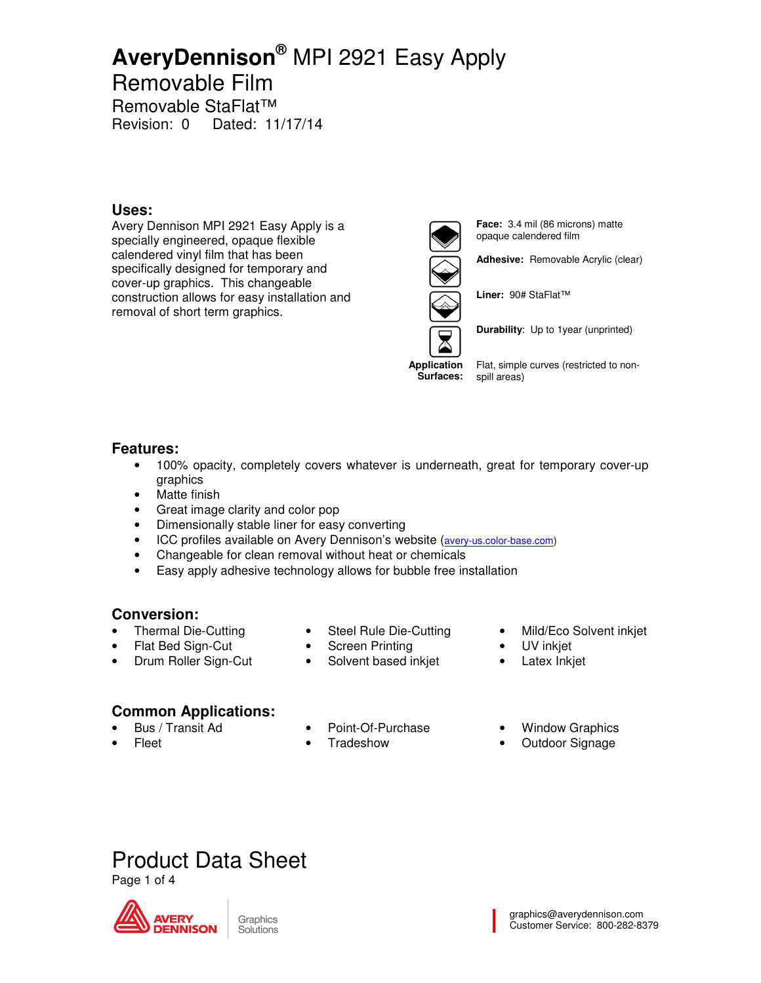### Removable Film

Removable StaFlat™ Revision: 0 Dated: 11/17/14

#### **Uses:**

Avery Dennison MPI 2921 Easy Apply is a specially engineered, opaque flexible calendered vinyl film that has been specifically designed for temporary and cover-up graphics. This changeable construction allows for easy installation and removal of short term graphics.



**Face:** 3.4 mil (86 microns) matte opaque calendered film

**Adhesive:** Removable Acrylic (clear)

**Liner:** 90# StaFlat™

**Durability**: Up to 1year (unprinted)

**Application Surfaces:** 

Flat, simple curves (restricted to nonspill areas)

#### **Features:**

- 100% opacity, completely covers whatever is underneath, great for temporary cover-up graphics
- Matte finish
- Great image clarity and color pop
- Dimensionally stable liner for easy converting
- ICC profiles available on Avery Dennison's website (avery-us.color-base.com)
- Changeable for clean removal without heat or chemicals
- Easy apply adhesive technology allows for bubble free installation

#### **Conversion:**

- Thermal Die-Cutting • Flat Bed Sign-Cut
- Steel Rule Die-Cutting
- Screen Printing
- Solvent based inkjet
- Mild/Eco Solvent inkjet
- UV inkjet
- Latex Inkjet

### **Common Applications:**

• Drum Roller Sign-Cut

- Bus / Transit Ad
- Point-Of-Purchase
- Fleet
- 
- **Tradeshow**
- Window Graphics
- Outdoor Signage



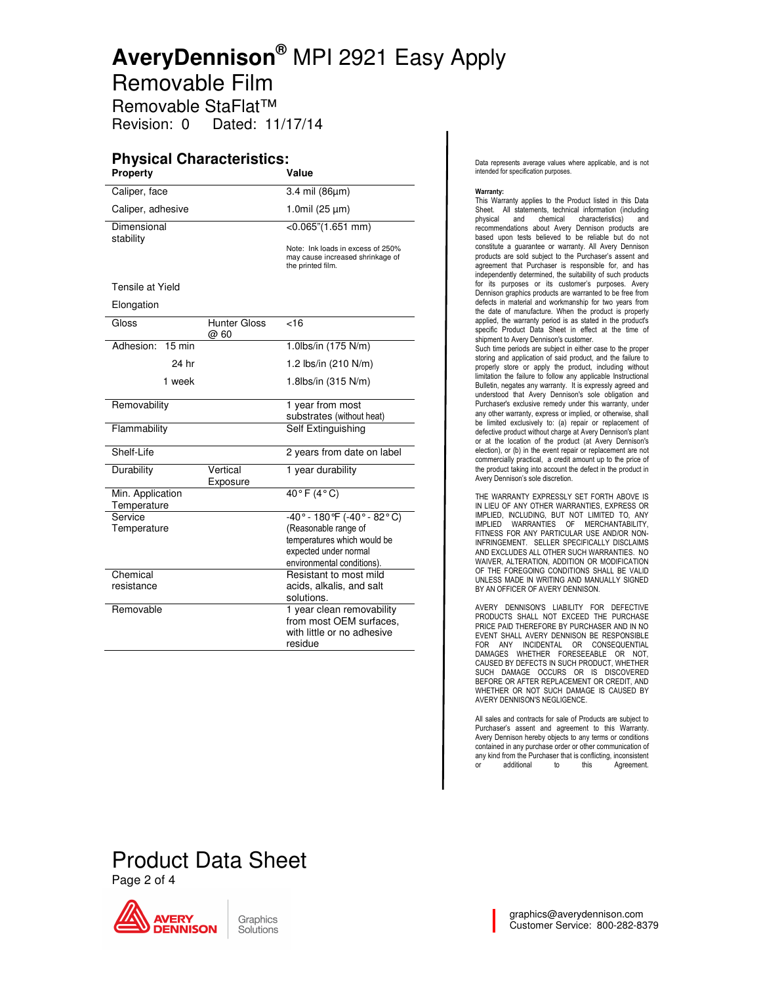Removable Film

Removable StaFlat™ Revision: 0 Dated: 11/17/14

#### **Physical Characteristics: Property Value**

| Property                        |                             | value                                                                                      |
|---------------------------------|-----------------------------|--------------------------------------------------------------------------------------------|
| Caliper, face                   |                             | 3.4 mil (86µm)                                                                             |
| Caliper, adhesive               |                             | 1.0mil $(25 \mu m)$                                                                        |
| Dimensional<br>stability        |                             | $<$ 0.065"(1.651 mm)                                                                       |
|                                 |                             | Note: Ink loads in excess of 250%<br>may cause increased shrinkage of<br>the printed film. |
| Tensile at Yield                |                             |                                                                                            |
| Elongation                      |                             |                                                                                            |
| Gloss                           | <b>Hunter Gloss</b><br>@ 60 | $\overline{5}$                                                                             |
| Adhesion:<br>$15 \text{ min}$   |                             | 1.0lbs/in (175 N/m)                                                                        |
| 24 hr                           |                             | 1.2 lbs/in (210 N/m)                                                                       |
| 1 week                          |                             | 1.8lbs/in (315 N/m)                                                                        |
| Removability                    |                             | 1 year from most                                                                           |
|                                 |                             | substrates (without heat)                                                                  |
| Flammability                    |                             | Self Extinguishing                                                                         |
| Shelf-Life                      |                             | 2 years from date on label                                                                 |
| Durability                      | Vertical<br>Exposure        | 1 year durability                                                                          |
| Min. Application<br>Temperature |                             | $40°$ F $(4°$ C)                                                                           |
| Service                         |                             | $-40^{\circ} - 180^{\circ}$ (-40° - 82°C)                                                  |
| Temperature                     |                             | (Reasonable range of                                                                       |
|                                 |                             | temperatures which would be                                                                |
|                                 |                             | expected under normal                                                                      |
|                                 |                             | environmental conditions).                                                                 |
| Chemical                        |                             | Resistant to most mild                                                                     |
| resistance                      |                             | acids, alkalis, and salt                                                                   |
|                                 |                             | solutions.                                                                                 |
| Removable                       |                             | 1 year clean removability                                                                  |
|                                 |                             | from most OEM surfaces,<br>with little or no adhesive                                      |
|                                 |                             | residue                                                                                    |
|                                 |                             |                                                                                            |

Data represents average values where applicable, and is not intended for specification purposes.

**Warranty:**<br>This Warranty applies to the Product listed in this Data Sheet. All statements, technical information (including physical and chemical characteristics) and physical and chemical characteristics) recommendations about Avery Dennison products are based upon tests believed to be reliable but do not constitute a guarantee or warranty. All Avery Dennison products are sold subject to the Purchaser's assent and agreement that Purchaser is responsible for, and has independently determined, the suitability of such products for its purposes or its customer's purposes. Avery Dennison graphics products are warranted to be free from defects in material and workmanship for two years from the date of manufacture. When the product is properly applied, the warranty period is as stated in the product's specific Product Data Sheet in effect at the time of shipment to Avery Dennison's customer.

Such time periods are subject in either case to the proper storing and application of said product, and the failure to properly store or apply the product, including without limitation the failure to follow any applicable Instructional Bulletin, negates any warranty. It is expressly agreed and understood that Avery Dennison's sole obligation and Purchaser's exclusive remedy under this warranty, under any other warranty, express or implied, or otherwise, shall be limited exclusively to: (a) repair or replacement of defective product without charge at Avery Dennison's plant or at the location of the product (at Avery Dennison's election), or (b) in the event repair or replacement are not commercially practical, a credit amount up to the price of the product taking into account the defect in the product in Avery Dennison's sole discretion.

THE WARRANTY EXPRESSLY SET FORTH ABOVE IS IN LIEU OF ANY OTHER WARRANTIES, EXPRESS OR IMPLIED, INCLUDING, BUT NOT LIMITED TO, ANY IMPLIED WARRANTIES OF MERCHANTABILITY, FITNESS FOR ANY PARTICULAR USE AND/OR NON-INFRINGEMENT. SELLER SPECIFICALLY DISCLAIMS AND EXCLUDES ALL OTHER SUCH WARRANTIES. NO WAIVER, ALTERATION, ADDITION OR MODIFICATION OF THE FOREGOING CONDITIONS SHALL BE VALID UNLESS MADE IN WRITING AND MANUALLY SIGNED BY AN OFFICER OF AVERY DENNISON.

AVERY DENNISON'S LIABILITY FOR DEFECTIVE PRODUCTS SHALL NOT EXCEED THE PURCHASE PRICE PAID THEREFORE BY PURCHASER AND IN NO EVENT SHALL AVERY DENNISON BE RESPONSIBLE FOR ANY INCIDENTAL OR CONSEQUENTIAL DAMAGES WHETHER FORESEEABLE OR NOT, CAUSED BY DEFECTS IN SUCH PRODUCT, WHETHER SUCH DAMAGE OCCURS OR IS DISCOVERED BEFORE OR AFTER REPLACEMENT OR CREDIT, AND WHETHER OR NOT SUCH DAMAGE IS CAUSED BY AVERY DENNISON'S NEGLIGENCE.

All sales and contracts for sale of Products are subject to Purchaser's assent and agreement to this Warranty. Avery Dennison hereby objects to any terms or conditions contained in any purchase order or other communication of any kind from the Purchaser that is conflicting, inconsistent or additional to this Agreement.

## Product Data Sheet

Page 2 of 4

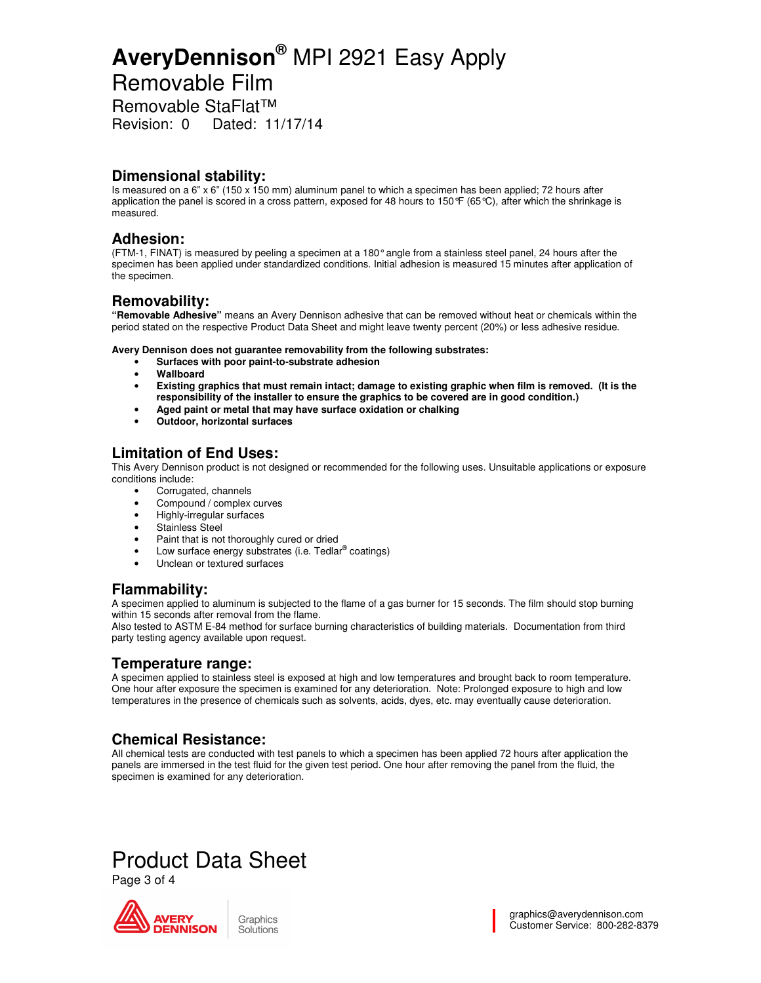### Removable Film

Removable StaFlat™

Revision: 0 Dated: 11/17/14

#### **Dimensional stability:**

Is measured on a 6" x 6" (150 x 150 mm) aluminum panel to which a specimen has been applied; 72 hours after application the panel is scored in a cross pattern, exposed for 48 hours to 150  $F(65)$ , after which the shrinkage is measured.

#### **Adhesion:**

(FTM-1, FINAT) is measured by peeling a specimen at a 180° angle from a stainless steel panel, 24 hours after the specimen has been applied under standardized conditions. Initial adhesion is measured 15 minutes after application of the specimen.

#### **Removability:**

**"Removable Adhesive"** means an Avery Dennison adhesive that can be removed without heat or chemicals within the period stated on the respective Product Data Sheet and might leave twenty percent (20%) or less adhesive residue.

**Avery Dennison does not guarantee removability from the following substrates:** 

- **Surfaces with poor paint-to-substrate adhesion**
- **Wallboard**
- **Existing graphics that must remain intact; damage to existing graphic when film is removed. (It is the responsibility of the installer to ensure the graphics to be covered are in good condition.)**
- **Aged paint or metal that may have surface oxidation or chalking**
- **Outdoor, horizontal surfaces**

#### **Limitation of End Uses:**

This Avery Dennison product is not designed or recommended for the following uses. Unsuitable applications or exposure conditions include:

- Corrugated, channels
- Compound / complex curves
- Highly-irregular surfaces
- Stainless Steel
- Paint that is not thoroughly cured or dried
- Low surface energy substrates (i.e. Tedlar<sup>®</sup> coatings)
- Unclean or textured surfaces

#### **Flammability:**

A specimen applied to aluminum is subjected to the flame of a gas burner for 15 seconds. The film should stop burning within 15 seconds after removal from the flame.

Also tested to ASTM E-84 method for surface burning characteristics of building materials. Documentation from third party testing agency available upon request.

#### **Temperature range:**

A specimen applied to stainless steel is exposed at high and low temperatures and brought back to room temperature. One hour after exposure the specimen is examined for any deterioration. Note: Prolonged exposure to high and low temperatures in the presence of chemicals such as solvents, acids, dyes, etc. may eventually cause deterioration.

#### **Chemical Resistance:**

All chemical tests are conducted with test panels to which a specimen has been applied 72 hours after application the panels are immersed in the test fluid for the given test period. One hour after removing the panel from the fluid, the specimen is examined for any deterioration.

### Product Data Sheet

Page 3 of 4